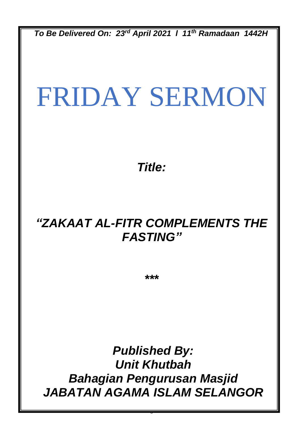*To Be Delivered On: 23rd April 2021 l 11th Ramadaan 1442H*

# FRIDAY SERMON

*Title:*

## *"ZAKAAT AL-FITR COMPLEMENTS THE FASTING"*

*\*\*\**

*Published By: Unit Khutbah Bahagian Pengurusan Masjid JABATAN AGAMA ISLAM SELANGOR*

0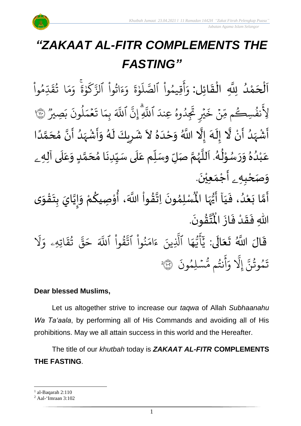

.<br>با  $\frac{1}{2}$ اَلْحَمْدُ لِلَّهِ الْقَائِل: وَأَقِيمُواْ ٱلصَّلَوٰةَ وَءَاتُواْ ٱلزَّكَوٰةَ وَمَا تُقَدِّمُواْ و<br>و ់<br>ត  $\overline{\phantom{a}}$ ֦֧֦֧֦֧֦֧֦֦֦֜֜֜֜֜֜֜֜<br>**֦֘**  $\overline{\phantom{a}}$  $\frac{1}{2}$ ֦֧֦֧֦֧֦֧֦֧֦֧֦֧֜֜֜֜֓֓<br>֧ׅ֦ׅ֝֜֜֜֜֜֜֜֜֜֜֜֜֜֜֜֬֟ <u>ہ</u> و<br>م س<br>ا بڈِ  $\tilde{u}$ ق ا ت و<br>په  $\frac{1}{2}$ بر<br>م ر<br>م و انا دنا ة و ؚ<br>ۣ ر<br>سم  $\mathsf{S}_{\cdot}$ ِ<br>په اثَوا الزَّ ْ ور  $\tilde{\zeta}$ ء  $\frac{1}{\alpha}$ و ្ត ة و ۱, ر<br>آ  $\uplambda$ ِس<br>س قِيمُوا الصَّ ْ و ِ<br>ج أ  $\frac{1}{2}$ و وو<br>. ِصِيْرِ  $\tilde{\cdot}$ ب  $\ddot{\cdot}$ لمونَ و<br>ا ر<br>م ح<br>مم  $\frac{1}{2}$  $\ddot{\phantom{0}}$ ا ت  $\frac{1}{2}$ ِ<br>بِمَ ِ<br>آکھ اللَّهَ ِ<br>په ِ إِنَّ إ بہ<br>ا اللَّهِ ر<br>ا دُوهُ عِندَ و<br>م ُ  $\tilde{z}$ پڻ تنجه<br>شيخ ش ہ<br>د  $\tilde{\mathbf{z}}$ خ ِن <u>ہ</u> ىد<br>م نفُسِڪُم مِّ ر و<br>و ِ<br>په لِا نَفُسِكُم مِّنْ خَيْرٍ تَجِدُوهُ عِندَ اللَّهِ إِنَّ اللَّهَ بِمَا تَعْمَلُونَ بَصِيرٌ (۞ ا<br>الم أَشْهَدُ أَنْ لَّا إِلَهَ إِلَّا اللَّهُ وَحْدَهُ لاَ شَرِيكَ لَهُ وَأَشْهَدُ أَنَّ مُحَمَّدًا ំ<br>•  $\frac{1}{2}$ و<br>ا  $\frac{1}{2}$ ْ ا<br>م ે<br>ત  $\frac{1}{\epsilon}$  $\frac{1}{2}$ ۔<br>ا ً<br>أ ل<br>م  $\frac{1}{\lambda}$ ا<br>م<br>•  $\sum_{i=1}^{n}$ ،<br>ا ر<br>زار ْ  $\frac{1}{2}$  $\tilde{\cdot}$ ر<br>ر<br>ا َ ِ  $\ddot{\phantom{0}}$  $\lambda$  $\frac{1}{2}$ َ<br>ا  $\frac{1}{2}$ عَبْدُهُ وَرَسُوْلُهُ. اَللَّهُمَّ صَلِّ وسَلِّم عَلَى سَيِّدِنَا مُحَمَّدٍ وَعَلَى آلِهِ ـ  $\overline{\mathbf{1}}$ ِ<br>م  $\tilde{\cdot}$ <u>لم</u> ر<br>آ ๋<br>ጎ  $\ddot{\phantom{0}}$  $\frac{1}{1}$ َ<br>آ  $\frac{1}{2}$ ĭ انة<br>م ر<br>ر<br>ر نز<br>آ ً<br>آ .<br>بر و<br>ا ់<br>្ ر<br>ر  $\ddot{\phantom{0}}$  $\tilde{\cdot}$  $\frac{1}{2}$ و<br>ا ْ ِ<br>م و*َص<sub>َ</sub>حْبِهِ <sub>ۦ</sub>* أَجْمَعِيْنَ. ْ  $\ddot{\phantom{0}}$ ់<br>(  $\tilde{a}$  $\ddot{\mathbf{z}}$ لَّا بَعْدُ، فَيَا َأَيُّهَا الْمُسْلِمُونَ اِتَّقُواْ اللَّهَ، أُوْصِيكُمْ  $\frac{1}{1}$  $\ddot{\cdot}$ ُ<br>و ំ<br>រ  $\ddot{\cdot}$ لة<br>م ِ<br>پنج ر<br>مخ ֦֧֦֧֦ **ہ**<br>'' ֦֧֦֧֦ **ٍ** ا<br>به<br>:  $\ddot{\phantom{0}}$ ›<br>ለ أَيُّهَا الْمُسْلِمُونَ اِتَّقُواْ اللَّهَ، أُوْصِيكُمْ وَإِيَّايَ بِتَقْوَى ِ<br>پاس<br>رو <sup>ب</sup>و<br>•  $\sum_{i=1}^{n}$  $\tilde{\cdot}$ ֦֧<u>֦</u>  $\ddot{\phantom{0}}$ **ٍ**<br>-ا<br>ا  $\frac{1}{2}$  $\tilde{\cdot}$ .  $\ddot{\phantom{0}}$ ؾڤۏڹؘ  $\frac{9}{4}$ ا<br>ایر<br>جو ہ<br>ا اللّٰهِ فَقَدْ فَازَ الْمُ  $\ddot{\cdot}$  $\frac{1}{2}$ ْ  $\frac{1}{2}$  $\frac{1}{2}$ قَالَ اللَّهُ تَعَالَى: ِ<br>ای  $\frac{1}{2}$  $\ddot{\phantom{0}}$  $\ddot{\mathbf{r}}$ ر<br>1 َل ر<br>م اتِهِۦ و  $\ddot{\mathbf{r}}$ ق ت ور ِ<br>په قة  $\overline{\phantom{a}}$ ح ِ<br>آک قُوا اللَّهَ ْ بِ ور ِ<br>په نُوا اڌّ <u>ہ</u><br>ا ُ ِ<br>م ام ر<br>ء ء ِينَ یہ<br>۱ ا الَّذِ ر<br>م ه و<br>د سَ<br>ڊ -<br>ج  $\overline{\mathcal{L}}$ ِ<br>د بد  $\ddot{\cdot}$ سُلِمُونَ و  $\ddot{\phantom{0}}$ و<br>م نتُم مَّ و<br>په ِ<br>ج أ ِ<br>م و ىد<br>1 َِل إ ِ<br>په تَمُوثُنَّ إِلَّا وَأَنتُم مُّسۡلِمُونَ ۞ و<br>په و 2

#### **Dear blessed Muslims,**

Let us altogether strive to increase our *taqwa* of Allah *Subhaanahu Wa Ta'aala*, by performing all of His Commands and avoiding all of His prohibitions. May we all attain success in this world and the Hereafter.

The title of our *khutbah* today is *ZAKAAT AL-FITR* **COMPLEMENTS THE FASTING**.

 $<sup>1</sup>$  al-Baqarah 2:110</sup>

<sup>2</sup> Aal-'Imraan 3:102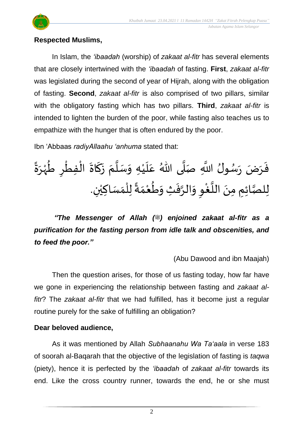

#### **Respected Muslims,**

In Islam, the *'ibaadah* (worship) of *zakaat al-fitr* has several elements that are closely intertwined with the *'ibaadah* of fasting. **First**, *zakaat al-fitr* was legislated during the second of year of Hijrah, along with the obligation of fasting. **Second**, *zakaat al-fitr* is also comprised of two pillars, similar with the obligatory fasting which has two pillars. **Third**, *zakaat al-fitr* is intended to lighten the burden of the poor, while fasting also teaches us to empathize with the hunger that is often endured by the poor.

Ibn 'Abbaas *radiyAllaahu 'anhuma* stated that:

 $\frac{1}{2}$ فَرَضَ رَسُولُ اللَّهِ صَلَّى اللّهُ عَلَيْهِ وَسَلَّمَ زَكَاةَ الْفِطْرِ طُهْرَةً و<br>د د  $\frac{1}{2}$  $\frac{1}{2}$  $\frac{1}{2}$ ة<br>أ  $\tilde{\cdot}$ ْ  $\frac{1}{1}$ .<br>م ا<br>ا  $\frac{1}{2}$ <u>ื</u>  $\frac{1}{2}$ ْ ُ ֦֧֦֧֦֧֦֧֦֧֦֧֦֧֦֧֦֧֦֧֦֧֦֧֦֧֧֦֧֟֓֓֟֓֜֓֟֓<br>**֧** ֦֧<u>֦</u>  $\ddot{\phantom{0}}$ ์<br>-<br>- $\ddot{\cdot}$ ر<br>په لِلصَّائِمِ مِنَ اللَّغْوِ وَالرَّفَتِْ وَطُعْمَةً لِلْمَسَاكِيْنِ.  $\frac{1}{2}$ ْ  $\frac{1}{\sqrt{2}}$  $\frac{1}{2}$  $\ddot{\cdot}$ ا<br>م  $\frac{1}{2}$ ِ ِ<br>وفيات ا<br>آ  $\ddot{\phantom{0}}$ ا<br>بر<br>ر ٝ<br>ا  $\frac{1}{\sqrt{2}}$ ۔<br>ا

*"The Messenger of Allah (*  $\cong$ *) enjoined zakaat al-fitr as a purification for the fasting person from idle talk and obscenities, and to feed the poor."*

(Abu Dawood and ibn Maajah)

Then the question arises, for those of us fasting today, how far have we gone in experiencing the relationship between fasting and *zakaat alfitr*? The *zakaat al-fitr* that we had fulfilled, has it become just a regular routine purely for the sake of fulfilling an obligation?

### **Dear beloved audience,**

As it was mentioned by Allah *Subhaanahu Wa Ta'aala* in verse 183 of soorah al-Baqarah that the objective of the legislation of fasting is *taqwa* (piety), hence it is perfected by the *'ibaadah* of *zakaat al-fitr* towards its end. Like the cross country runner, towards the end, he or she must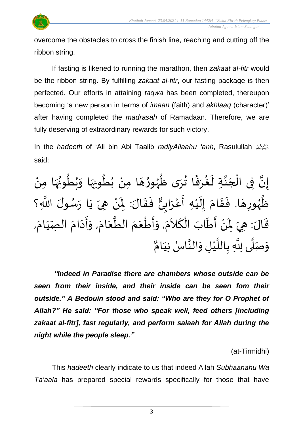

overcome the obstacles to cross the finish line, reaching and cutting off the ribbon string.

If fasting is likened to running the marathon, then *zakaat al-fitr* would be the ribbon string. By fulfilling *zakaat al-fitr*, our fasting package is then perfected. Our efforts in attaining *taqwa* has been completed, thereupon becoming 'a new person in terms of *imaan* (faith) and *akhlaaq* (character)' after having completed the *madrasah* of Ramadaan. Therefore, we are fully deserving of extraordinary rewards for such victory.

In the *hadeeth* of 'Ali bin Abi Taalib *radiyAllaahu 'anh*, Rasulullah صلى الله عليه وسلم said:

 $\overline{\phantom{a}}$ إِنَّ فِى الْجَنَّةِ لَغُرَفًا تُرَى ظُهُورُهَا مِنْ بُطُونِهَا وَبُطُونُهَا مِنْ ֦֧֦֧֦֧֦֧֦֦֦֜֜֜֜֜֜֜֜֜<br>**֦֘** ا<br>په بة  $\tilde{\mathbf{r}}$ ْ  $\frac{1}{2}$ ُ ፟<br>፟ ُ<br>ُ•  $\tilde{\cdot}$  $\frac{1}{2}$ ُ ُ<br>ُ• ْ  $\overline{\phantom{a}}$  $\frac{1}{2}$ و<br>ر<br>ر  $^9$ <sup>∂</sup>  $\ddot{\ddot{\cdot}}$  $\frac{1}{2}$ **ہ**  $\frac{1}{2}$ را .<br>حَلَّهُورِهَا. فَقَامَ إِلَيْهِ أَعْرَابِيٌّ فَقَالَ: لِمَنْ هِيَ يَا رَسُولَ اللَّهِ؟  $\frac{1}{2}$  $\frac{1}{2}$  $\overline{\phantom{a}}$ و<br>ر  $\frac{1}{2}$ ْ ر<br>ن ।<br>-<br>-ُ<br>م  $\frac{1}{2}$  $\ddot{\phantom{0}}$  $\frac{1}{2}$ ْ  $\overline{\phantom{a}}$ ।<br>।<br>।  $\frac{1}{2}$  $\frac{1}{2}$ و<br>ً أَعْرَابِيٌّ ا<br><  $\frac{1}{2}$ ْ  $\frac{1}{2}$ :<br>: قَالَ: هِيَ لِمَنْ أَطَابَ الْكَلاَمَ, وَأَطْعَمَ الطَّعَامَ, وَأَدَامَ الصِّيَامَ,  $\frac{1}{2}$  $\overline{\phantom{a}}$  $\frac{1}{2}$  $\frac{1}{1}$  $\frac{1}{2}$  $\ddot{\phantom{0}}$  $\frac{1}{2}$  $\tilde{\cdot}$  $\frac{1}{2}$  $\frac{1}{2}$ ا<br>پ  $\frac{1}{2}$  $\frac{1}{2}$ ֦֧֦֧֦֧֦֧֦֧֦֧֦֧֦֧֦֧֦֧֦֧֧֦֧֝֝֟֓֓֟֓֓֜֓֟֓<br>**֧**  $\frac{1}{2}$  $\frac{1}{2}$  $\frac{1}{2}$  $\tilde{\zeta}$ ์<br>-<br>-֦֧֦֧֦֧֦֧֦֧֦֜֜֜֜֜֜֜<br>֧֝֜֜  $\tilde{\mathbf{r}}$ َ<br>پنج ំ<br>•  $\mathbf{r}$  $\ddot{\phantom{0}}$ وَصَلَّى لِلَّهِ بِا <u>ر</u> -<br>تا<br>• ا<br>ا  $\frac{1}{2}$  $\frac{1}{2}$ للَّيْلِ وَالنَّاسُ نِيَامٌ َ ٍ<br>پ ا<br>په  $\tilde{ }$ ْ ا<br>آ

*"Indeed in Paradise there are chambers whose outside can be seen from their inside, and their inside can be seen fom their outside." A Bedouin stood and said: "Who are they for O Prophet of Allah?" He said: "For those who speak well, feed others [including zakaat al-fitr], fast regularly, and perform salaah for Allah during the night while the people sleep."*

(at-Tirmidhi)

This *hadeeth* clearly indicate to us that indeed Allah *Subhaanahu Wa Ta'aala* has prepared special rewards specifically for those that have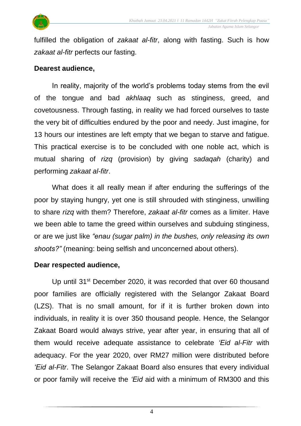

fulfilled the obligation of *zakaat al-fitr*, along with fasting. Such is how *zakaat al-fitr* perfects our fasting.

#### **Dearest audience,**

In reality, majority of the world's problems today stems from the evil of the tongue and bad *akhlaaq* such as stinginess, greed, and covetousness. Through fasting, in reality we had forced ourselves to taste the very bit of difficulties endured by the poor and needy. Just imagine, for 13 hours our intestines are left empty that we began to starve and fatigue. This practical exercise is to be concluded with one noble act, which is mutual sharing of *rizq* (provision) by giving *sadaqah* (charity) and performing *zakaat al-fitr*.

What does it all really mean if after enduring the sufferings of the poor by staying hungry, yet one is still shrouded with stinginess, unwilling to share *rizq* with them? Therefore, *zakaat al-fitr* comes as a limiter. Have we been able to tame the greed within ourselves and subduing stinginess, or are we just like *"enau (sugar palm) in the bushes, only releasing its own shoots?"* (meaning: being selfish and unconcerned about others).

#### **Dear respected audience,**

Up until 31<sup>st</sup> December 2020, it was recorded that over 60 thousand poor families are officially registered with the Selangor Zakaat Board (LZS). That is no small amount, for if it is further broken down into individuals, in reality it is over 350 thousand people. Hence, the Selangor Zakaat Board would always strive, year after year, in ensuring that all of them would receive adequate assistance to celebrate *'Eid al-Fitr* with adequacy. For the year 2020, over RM27 million were distributed before *'Eid al-Fitr*. The Selangor Zakaat Board also ensures that every individual or poor family will receive the *'Eid* aid with a minimum of RM300 and this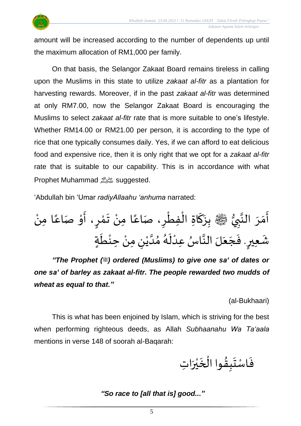

amount will be increased according to the number of dependents up until the maximum allocation of RM1,000 per family.

On that basis, the Selangor Zakaat Board remains tireless in calling upon the Muslims in this state to utilize *zakaat al-fitr* as a plantation for harvesting rewards. Moreover, if in the past *zakaat al-fitr* was determined at only RM7.00, now the Selangor Zakaat Board is encouraging the Muslims to select *zakaat al-fitr* rate that is more suitable to one's lifestyle. Whether RM14.00 or RM21.00 per person, it is according to the type of rice that one typically consumes daily. Yes, if we can afford to eat delicious food and expensive rice, then it is only right that we opt for a *zakaat al-fitr* rate that is suitable to our capability. This is in accordance with what Prophet Muhammad صلى الله عليه وسلمsuggested.

'Abdullah bin 'Umar *radiyAllaahu 'anhuma* narrated:

ُّ ي ِ ب ا الن َ ر َ م َ أ صلى الله عليه وسلم ْ ِمن ا ً اع صَ ْ و َ ، أ ٍ ر ْ م َ ت ْ ِمن ا ً اع ، صَ ِ ر ْ ِفط ْ ِة ال ا َ ك َ ِز ب ٍ ِعير َ ة ٍ ش . َ ط ْ ِحن ْ ِ ِمن ن ْ ي ا د ُ م ُ ه َ ل ْ س ِعد ُ ا ا الن لَ َ ع َ ج َ ف

*"The Prophet (iii)* ordered (Muslims) to give one sa' of dates or *one sa' of barley as zakaat al-fitr. The people rewarded two mudds of wheat as equal to that."*

(al-Bukhaari)

This is what has been enjoined by Islam, which is striving for the best when performing righteous deeds, as Allah *Subhaanahu Wa Ta'aala* mentions in verse 148 of soorah al-Baqarah:

فَاسْتَبِقُوا الْخَيْرَاتِ  $\ddot{\phantom{0}}$ ْ ه<br>بر  $\ddot{\phantom{0}}$ ْ  $\frac{9}{4}$  $\ddot{\phantom{0}}$  $\frac{1}{2}$ 

*"So race to [all that is] good..."*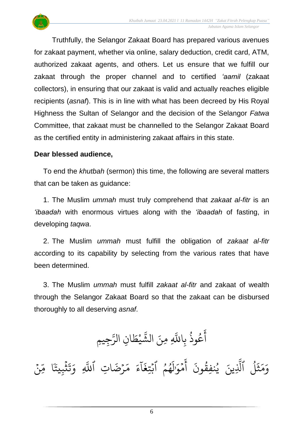

Truthfully, the Selangor Zakaat Board has prepared various avenues for zakaat payment, whether via online, salary deduction, credit card, ATM, authorized zakaat agents, and others. Let us ensure that we fulfill our zakaat through the proper channel and to certified *'aamil* (zakaat collectors), in ensuring that our zakaat is valid and actually reaches eligible recipients (*asnaf*). This is in line with what has been decreed by His Royal Highness the Sultan of Selangor and the decision of the Selangor *Fatwa* Committee, that zakaat must be channelled to the Selangor Zakaat Board as the certified entity in administering zakaat affairs in this state.

#### **Dear blessed audience,**

To end the *khutbah* (sermon) this time, the following are several matters that can be taken as guidance:

1. The Muslim *ummah* must truly comprehend that *zakaat al-fitr* is an *'ibaadah* with enormous virtues along with the *'ibaadah* of fasting, in developing *taqwa*.

2. The Muslim *ummah* must fulfill the obligation of *zakaat al-fitr* according to its capability by selecting from the various rates that have been determined.

3. The Muslim *ummah* must fulfill *zakaat al-fitr* and zakaat of wealth through the Selangor Zakaat Board so that the zakaat can be disbursed thoroughly to all deserving *asnaf*.

ِجِيمِ ِ<br>سَ ِن الر ا  $\tilde{\cdot}$ يْط **ٔ** ں<br>م لَّهِ مِنَ الشَّ عُوذُ بِاللَّهِ و<br>په و<br>م ِ<br>ج أ

ؚ<br>ۣ ِن ں<br>س ا م  $\ddot{\ddot{\cdot}$ ثَبِيتََ ្ធ  $\ddot{\cdot}$ ن<br>ذ  $\frac{1}{2}$ ِ و یہ<br>ا رْضَاتِ ٱللَّهِ  $\ddot{\phantom{0}}$ ِ<br>م ر<br>م ر<br>ء ء  $\tilde{\tau}$ ا  $\ddot{\cdot}$ هُمُ ابْتِغَ  $\ddot{\phantom{0}}$ و و<br>م ر<br>دا ل ٰ مَوَّز  $\frac{1}{2}$ ِ<br>ج أ  $\ddot{\cdot}$ ون نفِق ي ِينَ ور ُو ِ<br>آ ٱَّل ل ءِ<br>ا ্য بر<br>ثم  $\frac{1}{2}$ بر<br>م ِ<br>م و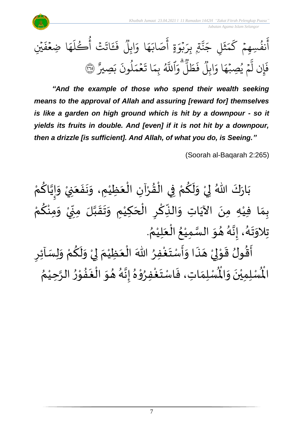*Jabatan Agama Islam Selangor*

 $\ddot{\cdot}$ فَءَ وو<br>ا ابلَ  $\frac{1}{2}$ ا و ِ<br>م ه ِ<br>ا اب صَ ِ<br>ج ة أ ٍ  $\frac{1}{\epsilon}$ و<br>بو  $\ddot{\phantom{0}}$ ِ<br>ب تم بِرَ<br>م ِ<br>په ن<br>م  $\tilde{\phantom{a}}$ ِ ج ل  $\tilde{\mathbf{r}}$ بہ<br>شہر ر<br>م بر<br>ح ر<br>سم نفَسِهِمْ ك  $\frac{1}{2}$ و<br>و ِ<br>ج أ ر<br>ع تۡ َ اتَتۡ أُكۡلَهَا ضِعۡفَيۡنِ ا ضِعۡفَ  $\frac{1}{2}$ ِ<br>م ه ر<br>آ ل ك ر و<br>م أ و<br>و ِصِيرٌ  $\tilde{\cdot}$ ب  $\ddot{\cdot}$ لمونَ و<br>ا  $\frac{1}{2}$ م<br>مم  $\frac{1}{2}$  $\ddot{\cdot}$ ا ت ر<br>م ِ<br>بِمَ ِ<br>آھ<br>آھ اللَّهُ .<br>ه و رو<br>آ ل  $\frac{1}{2}$ ط  $\ddot{\cdot}$ ف وو<br>ا ابِلَ  $\frac{1}{2}$ ا و ر<br>م مُ يُصِبُهَ  $\ddot{\phantom{0}}$ و<br>و  $\frac{1}{2}$ ِ<br>آ ِن ل إ  $\ddot{\cdot}$ فَإِن لَمْ يُصِبُّهَا وَابِلَ فَطَلَّ وَاللَّهُ بِمَا تَعْمَلُونَ بَصِيرٌ ۞

*"And the example of those who spend their wealth seeking means to the approval of Allah and assuring [reward for] themselves is like a garden on high ground which is hit by a downpour - so it yields its fruits in double. And [even] if it is not hit by a downpour, then a drizzle [is sufficient]. And Allah, of what you do, is Seeing."*

(Soorah al-Baqarah 2:265)

ْ بَارَكَ اللّهُ لِيْ وَلَكُمْ فِي الْقُرْآنِ الْعَظِيْمِ، وَنَفَعَنِيْ وَإِيَّاكُمْ َ  $\frac{1}{2}$  $\ddot{\phantom{0}}$  $\tilde{\cdot}$ ْ  $\frac{1}{2}$ ֦֧֦֧֦֧֦֧֦֜֜֜֜֜֜֜֜<br>֧ׅׅ֝֜֜֜֜֜֜֜֜֜֜֜֝֜֜֝֜<del>֟</del> ْ  $\frac{1}{2}$ ֦֧֦֧֦֧֦֧֦֜֜֜֜֜֜֜֜֜<br>֧֝֜֜ ْ <u>ہ</u>  $\tilde{\mathbf{r}}$  $\frac{1}{2}$ ْ  $\frac{1}{2}$  $\ddot{\ }$ ْ <u>ل</u> ا<br>ا<br>۱  $\frac{1}{2}$  $\tilde{\cdot}$ ْ بِمَا فِيْهِ مِنَ الآيَاتِ وَالنِّكْرِ الْحَكِيْمِ وَتَقَبَّلَ مِنِّيْ وَمِنْكُمْ <u>ل</u> ់<br>•  $\tilde{\cdot}$ ْ ֚֝<br>֛֛֦֦  $\sum$ ن<br>ا  $\frac{1}{2}$  $\frac{1}{2}$  $\frac{1}{2}$ ْ  $\overline{\phantom{a}}$ ֫<br>֫**֟** <u>ر</u> ؚ<br>م  $\ddot{\cdot}$ ์ $\frac{1}{2}$ ِ<br>پُ  $\ddot{\phantom{0}}$ ْ  $\frac{1}{2}$ . ़<br>१ تِلاوَتَهُ، إِنَّهُ هُوَ السَّمِيْعُ الْعَلِيْمُ ْ َ ֦֧֦֧֦֧֦֧֦֧֦֜֜֜֜֓֓֟֓<br>֧ׅ֦ׅ֝֜֜֜֜֜֜֜֜֜֜֜֜֜֜֜֜֬֟ ُ ំ<br>រ ا<br>ما  $\frac{1}{2}$  $\frac{1}{2}$ و<br>گ بة<br>•  $\frac{1}{2}$ .<br>پر  $\ddot{\phantom{0}}$  $\frac{1}{2}$ ा<br>इ न<br>इ

ُأَقُولُ قَوْلِيْ هَذَا وَأَسْتَغْفِرُ اللّٰهَ الْعَظِيْمَ لِيْ وَلَكُمْ وَلِسَاْئِرِ ِ<br>وف  $\ddot{\ }$  $\frac{1}{2}$  $\ddot{\cdot}$  $\overline{a}$ ់<br>, لمح י<br>י  $\frac{1}{2}$ و<br>2 <u>ر</u>  $\tilde{\cdot}$ ْ <u>ہ</u>  $\tilde{\mathbf{r}}$  $\tilde{\cdot}$ ֦֧֦֧֦֧<u>֚</u> إ  $\frac{1}{2}$ ْ  $\frac{1}{2}$ ֦֧֦֧֦֧֦֧֦֧֦֧֦֧֜֜֜֜֓֓<br>֧֝֜֜֜֜֜֜֜֜֜֜֜֜֜֞֟ ُ رِبِ<br>لِّمُسْلِمَاتِ، فَاسْتَغْفِرُوْهُ إِنَّهُ هُوَ الْغَفُوْرُ الرَّحِيْمُ ំ<br>រ ان<br>م  $\frac{1}{2}$ י<br>י  $\frac{1}{2}$  $\ddot{\cdot}$ ر<br>ا  $\frac{1}{2}$ ُ و<br>گ ن<br>•<br>• ।<br>-<br>- $\frac{1}{2}$ ֦֧֦֦֝  $\frac{1}{2}$ ْ  $\frac{1}{2}$  $\frac{1}{2}$  $\frac{1}{2}$ ر۔<br>لْمُسْلِمِيْنَ وَالْمُ  $\frac{1}{2}$  $\ddot{\phantom{0}}$ ់<br>( الْم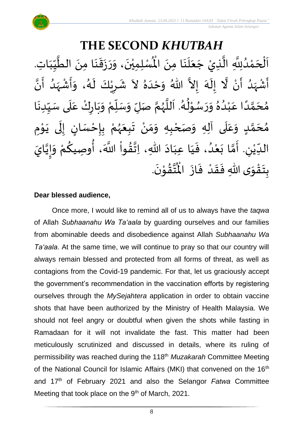#### **THE SECOND** *KHUTBAH* ر مسلمان مسلمان مسلمان الطَّيِّبَاتِ<br>لِمُسْلِمِيْنَ، وَرَزَقَنَا مِنَ الطَّيِّبَاتِ  $\frac{1}{1}$  $\frac{1}{2}$  $\frac{1}{2}$ ان<br>ا  $\ddot{\phantom{0}}$ ्<br>;  $\frac{1}{2}$  $\ddot{\cdot}$  $\frac{1}{2}$  $\tilde{\cdot}$  $\ddot{\phantom{0}}$ ٝ<br>ا اَلْحَمْدُلِلَّهِ الَّذِيْ جَعَلَنَا مِنَ الْمُسْلِمِيْنَ، وَرَزَقَنَا مِنَ الطَّيِّبَاتِ.  $\ddot{\phantom{0}}$  $\ddot{\phantom{0}}$ َ<br>الم َ  $\overline{\phantom{a}}$ ا<br>ا اتا<br>ا و<br>و ំ<br>ត  $\overline{\phantom{a}}$ ْ  $\overline{\phantom{a}}$ ْ أَشْهَدُ أَنْ لَّا إِلَهَ إِلاَّ اللّهُ وَحْدَهُ لاَ شَرِيْكَ لَهُ، وَأَشْهَدُ أَنَّ ر<br>پنج و<br>ا ر<br>زن ْ ِ<br>پ ا<br>ا ै<br>जन्म تا<br>ج َ<br>م  $\tilde{\cdot}$  $\frac{1}{2}$  $\tilde{\phantom{0}}$  $\frac{1}{2}$ ِ<br>ا  $\tilde{\cdot}$ ا<br>به<br>• -<br>:<br>: بر<br>د  $\frac{1}{2}$ ْ  $\frac{1}{2}$  $\tilde{\cdot}$ ر<br>گ  $\tilde{\mathbf{r}}$ ْ <u>ر</u>  $\frac{1}{2}$ مُحَمَّدًا عَبْدُهُ وَرَسُوْلُهُ. اَللَّهُمَّ صَلِّ وَسَلِّمْ وَبَارِكْ عَلَى سَبِّدِنَا  $\ddot{\phantom{0}}$  $\frac{1}{1}$  $\frac{1}{2}$ `<br>أ  $\frac{1}{2}$ ر<br>و  $\ddot{\phantom{0}}$  $\frac{1}{2}$ ْ ์<br>ข้  $\overline{r}$  $\tilde{\cdot}$ ن<br>م ر<br>ر<br>ر ا<br>ا  $\overline{\phantom{a}}$ و<br>گ ٍ<br>∲ י<br>י و<br>م  $\frac{1}{2}$  $\frac{1}{2}$  $^{\circ}$ و<br>و ْ .<br>م ً<br>أ ت<br>م  $\overline{\phantom{a}}$ ر<br>م مُحَمَّدٍ وَعَلَى آلِهِ وَصَحْبِهِ وَمَنْ تَبِعَهُمْ بِإِحْسَانٍ إِلَى يَوْمِ <u>ل</u>ے ت<br>م  $\overline{\phantom{a}}$ ر<br>^  $\overline{\mathbf{r}}$ ً<br>م  $\tilde{\cdot}$ י<br>י ا<br>با<br>•  $\ddot{\phantom{0}}$ ل  $\frac{1}{2}$ ر<br>! ْ <u>ر</u><br>-ْ ر<br>ر<br>ر  $\frac{1}{2}$  $\frac{1}{2}$ ْ  $\frac{1}{2}$ ์ $\tilde{\cdot}$ ֦֧<u>֦</u> الدِّيْنِ. أَمَّا بَعْدُ، فَيَا عِبَادَ اللّهِ، اِتَّقُواْ اللَّهَ، أُوصِيكُمْ وَإِيَّايَ ت<br>م  $\frac{1}{2}$ ِ<br>لیا ْ  $\frac{1}{\sqrt{2}}$ ن<br>•<br>•  $\frac{1}{2}$  $\frac{1}{2}$ .<br>م <u>ل</u> ُ<br>پیدائش<br>نانیا ٔ<br>ا ′<br>مو ن<br>\*  $\sim$ َ َ  $\frac{1}{2}$ ٍ<br>'' ْ  $\ddot{\ }$ .  $\ddot{\phantom{0}}$ تقوْنَ ֦֧֝֝֝<br>**֧**  $\frac{9}{4}$ ا<br>استقطا<br>جوا ُ<br>مو بِتَقْوَى اللّهِ فَقَدْ فَازَ الْمُ  $\ddot{\cdot}$  $\frac{1}{2}$ ْ  $\frac{1}{2}$  $\frac{1}{2}$  $\frac{1}{2}$ ْ  $\ddot{\ }$ <u>ر</u>

#### **Dear blessed audience,**

Once more, I would like to remind all of us to always have the *taqwa* of Allah *Subhaanahu Wa Ta'aala* by guarding ourselves and our families from abominable deeds and disobedience against Allah *Subhaanahu Wa Ta'aala*. At the same time, we will continue to pray so that our country will always remain blessed and protected from all forms of threat, as well as contagions from the Covid-19 pandemic. For that, let us graciously accept the government's recommendation in the vaccination efforts by registering ourselves through the *MySejahtera* application in order to obtain vaccine shots that have been authorized by the Ministry of Health Malaysia. We should not feel angry or doubtful when given the shots while fasting in Ramadaan for it will not invalidate the fast. This matter had been meticulously scrutinized and discussed in details, where its ruling of permissibility was reached during the 118th *Muzakarah* Committee Meeting of the National Council for Islamic Affairs (MKI) that convened on the 16<sup>th</sup> and 17th of February 2021 and also the Selangor *Fatwa* Committee Meeting that took place on the 9<sup>th</sup> of March, 2021.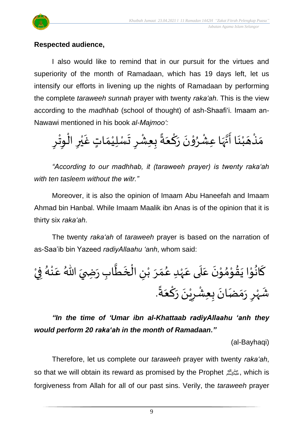

#### **Respected audience,**

I also would like to remind that in our pursuit for the virtues and superiority of the month of Ramadaan, which has 19 days left, let us intensify our efforts in livening up the nights of Ramadaan by performing the complete *taraweeh sunnah* prayer with twenty *raka'ah*. This is the view according to the *madhhab* (school of thought) of ash-Shaafi'i. Imaam an-Nawawi mentioned in his book *al-Majmoo':*

 $\frac{1}{2}$ مَنْهَبْنَا أَنَّهَا عِشْرُوْنَ رَكْعَةً بِعِشْرِ تَسْلِيْمَاتٍ غَيْرِ الْوِتْرِ ْ  $\overline{\phantom{a}}$ ْ  $\ddot{\phantom{0}}$  $\frac{1}{2}$ ا<br>ال ِ<br>اس ْ **ہ**<br>د ֦֧֦  $\ddot{\phantom{0}}$  $\frac{1}{2}$ <u>ہ</u> َ ً<br>-<br>'• ْ  $\frac{1}{2}$ ْ ْ  $\frac{1}{\lambda}$  $\frac{1}{2}$  $\frac{1}{2}$ ْ ي ِ ْ ِمِ ْ <u>ر</u>

*"According to our madhhab, it (taraweeh prayer) is twenty raka'ah with ten tasleem without the witr."*

Moreover, it is also the opinion of Imaam Abu Haneefah and Imaam Ahmad bin Hanbal. While Imaam Maalik ibn Anas is of the opinion that it is thirty six *raka'ah*.

The twenty *raka'ah* of *taraweeh* prayer is based on the narration of as-Saa'ib bin Yazeed *radiyAllaahu 'anh*, whom said:

์<br>-<br>-كَانُوْا يَقُوْمُوْنَ عَلَى عَهْدِ عُمَرَ بْنِ الْخَطَّابِ رَضِيَ اللّهُ عَنْهُ فِيْ **ہو** ់<br>្  $\overline{\phantom{a}}$  $\frac{9}{4}$ י<br>י  $\frac{1}{2}$ י<br>י  $\ddot{\phantom{0}}$ .<br>م  $\frac{1}{1}$ .<br>م ٝ<br>ْ و<br>م  $\frac{1}{2}$  $\frac{1}{2}$ ّٰ<br>ٰ ِ ֦֧֦֧֦֧֦֧֦֧֧֧֧֦֧֦֧֝֝֝֜֟֓֓֟֓֟֓֟֓֟֓֝֓֟֓֝֟֓֟֓֟֓֟֓֝֬֟֓֟֓֝֬<br>**֧**  $\ddot{\phantom{0}}$ ا<br>ا  $\ddot{\phantom{0}}$  $\overline{\phantom{a}}$ ِ<br>م ់<br>• ر<br>ر<br>ار ْ  $\frac{1}{2}$ شَهْرِ رَمَضَانَ بِعِشْرِيْنَ رَكْعَةً. ٝ<br>ر رِ  $\frac{1}{2}$  $\frac{1}{2}$  $\ddot{\phantom{0}}$  $\ddot{\cdot}$ ْ ْ  $\ddot{\phantom{0}}$  $\frac{1}{2}$ ؚ<br>م َ ً<br>أ∙ّ

*"In the time of 'Umar ibn al-Khattaab radiyAllaahu 'anh they would perform 20 raka'ah in the month of Ramadaan."*

(al-Bayhaqi)

Therefore, let us complete our *taraweeh* prayer with twenty *raka'ah*, so that we will obtain its reward as promised by the Prophet صلى الله عليه وسلم, which is forgiveness from Allah for all of our past sins. Verily, the *taraweeh* prayer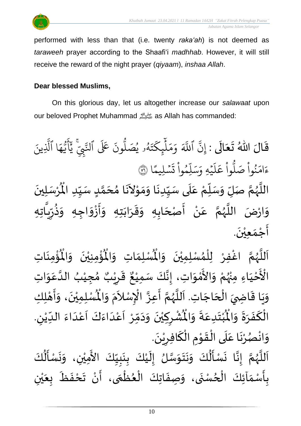



performed with less than that (i.e. twenty *raka'ah*) is not deemed as *taraweeh* prayer according to the Shaafi'i *madhhab*. However, it will still receive the reward of the night prayer (*qiyaam*), *inshaa Allah*.

#### **Dear blessed Muslims,**

On this glorious day, let us altogether increase our *salawaat* upon our beloved Prophet Muhammad صلى الله as Allah has commanded:

قَالَ اللّهُ تَعَالَى : إِنَّ ٱللّهَ وَمَلِّيكَتَهُو يُصَلُّونَ عَلَى ٱلتّبِيَّ يَٰٓأَيُّهَا ٱلَّذِينَ  $\ddot{\phantom{0}}$  $\frac{1}{2}$  $\frac{1}{2}$  $\frac{1}{2}$ یہ<br>۱ ا الَّذِ ِ<br>م ه و<br>د يَ<br>ب ِ<br>ج  $\sqrt{2}$ ِ<br>د يج<br>تنجي ي<del>ن</del>د .<br>تَ عَلَى ٱلنَّ ون و<br>ا و<br>٩و يُصَلُّ و<br>د و<br>لم  $\ddot{\phantom{0}}$ ت ر<br>سم ِك ئ بر<br>آ  $\uplambda$ ِ<br>م بر<br>م ِ<br>م و ہ<br>آکھ اللَّهَ ِ<br>پَ ِن إ ا  $\frac{2}{1}$ .<br>سليمًا  $\ddot{\phantom{0}}$  $\ddot{\cdot}$ ت <u>ہ</u><br>ا وا ِم و ں<br>آ ل ِ<br>م بر<br>سد  $\frac{1}{c}$ يُهِ وَ,  $\ddot{\phantom{0}}$ ر<br>آ  $\uplambda$ ِ<br>م ع وا ْ و<br>ا ب<sub>ُواْ صَلَّ</sub> ؙ<br>
<sup>ب</sup> ُو<br>و  $\frac{1}{2}$ ءَامَنُواْ صَلُّواْ عَلَيْهِ وَسَلِّمُواْ تَسۡلِيمًا ۞ اللَّهُمَّ صَلِّ وَسَلِّمْ عَلَى سَيِّدِنَا وَمَوْلاَنَا مُحَمَّدٍ سَيِّدِ الْمُرْسَلِينَ  $\frac{1}{1}$  $\frac{1}{2}$ <u>لم</u> ت<br>م  $\overline{\phantom{a}}$  $\frac{1}{2}$  $\overline{\phantom{a}}$  $\sim$ ֦֦֝<br>**֝**  $\frac{1}{2}$  $\frac{1}{2}$ ا<br>با<br>•  $\frac{1}{1}$ ۔<br>آ .<br>م ْ :<br>"  $\frac{1}{2}$  $\frac{1}{2}$ تا<br>ح و<br>ر<br>ر ة<br>أ  $\ddot{\phantom{0}}$ ْ  $\ddot{\mathbf{r}}$ اْل ِ ِه ُضَ اللَّهُمَّ عَنْ أَصْحَابِهِ وَقَرَابَتِهِ وَأَزْوَاجِهِ وَذُرِّيَّاتِ .<br>تا  $\frac{1}{2}$ ر ا<br>باد<br>•  $\tilde{\cdot}$  $\tilde{\cdot}$ ا<br>:  $\frac{1}{2}$  $\frac{1}{2}$  $\overline{\phantom{a}}$  $\frac{1}{2}$  $\frac{1}{2}$  $\frac{1}{2}$ ़<br>-<br>-ا<br>پنج ំ<br>• .<br>م ن<br>م  $\frac{1}{2}$ ا<br>الم اڑہ  $\frac{1}{2}$ و  $\ddot{\phantom{0}}$ أَجْمَع<u>ي</u>ُنَ. ់<br>**រ**  $\frac{1}{2}$ ֦֧֦֧֦֧<u>֦</u> ।<br>न्

ؙۊؙ۠ڡؚڹؘاتؚ  $\ddot{\phantom{0}}$ ْ<br>با ُْ ُؤْمِنِيْنَ ۖ وَالْمُ  $\tilde{\cdot}$  $\ddot{\phantom{0}}$ ْ ْ<br>بِ  $\mathbf{r}^{\circ}$ ِ<br>لْمُسْلِمَاتِ وَالْمُ  $\tilde{\cdot}$  $\frac{1}{2}$ اغْفِرْ لِلْمُسْلِمِيْنَ وَالْمُ  $\tilde{\cdot}$  $\ddot{\phantom{0}}$ ់<br>**រ** ,<br>^ ֦֧֦֧֦֧֦֧֦֧֦֧֦֧֦֧֦֧֦֧֜֜֓֓֟֓<br>֧֜֜֜֜֜֜֜֜֜֜֜֜ ِ<br>و ن<br>م م ه لل ا ر<br>ر<br>ر ا<br>آ ً<br>آ أُحْيَاءِ َ ֦֧֦֦֧֝<u>֦</u> ـــ<br>م<br>م الْأَحْيَاءِ مِنْهُمْ وَالأَمْوَاتِ، إِنَّكَ سَمِيْعٌ قَـ ْ بو<br>زړ ْ  $\frac{1}{2}$ י<br>ה ں<br>ج  $\frac{1}{2}$  $\ddot{\ddot{\cdot}}$  $\frac{1}{2}$ ، إِنَّكَ سَمِيْعٌ قَرِيْبٌ مُجِيْبُ الدَّعَوَاتِ ْ ن<br>•<br>•  $\ddot{\ }$ .<br>م ا<br>ا ُ ֦֧֦֦֧֝<u>֚</u>  $\frac{1}{2}$ ه<br>د ا ي ر <u>ر</u> ا ِت. اجَ ح ال ِ ي اض ا ق ي ِك َ و ِل ه أ ، و ن ِ ِمي ل سْ ُْ  $\overline{\phantom{a}}$ ֦֧֦֧֦֧֦֧֦֧֦֧֦֧֦֟֓<br>֧ׅ֝֜֜֜֜֜֜֜֜֜֜֜֜֜֜֜֜֜֬֟  $\overline{a}$  $\frac{1}{2}$  $\ddot{\ }$ י<br>**י** ا<br>با  $\tilde{\cdot}$  $\ddot{\phantom{0}}$ ْ اَللَّهُمَّ أَعِزَّ الْإِسْلاَمَ وَالْمُ  $\tilde{\cdot}$ ر<br>د  $\tilde{\phantom{a}}$ ّٰ<br>أ بة —<br>:<br>: ن<br>م ر<br>ر<br>ر ة<br>أ ر<br>آ . ِ ُشْرِكِيْنَ وَدَمِّرْ أَعْدَاءَكَ أَعْدَاءَ اللدِّيْنِ ْ  $\frac{1}{1}$  $\frac{1}{2}$ ا<br>ا<br>ا .<br>م َ<br>آ َ<br>و  $\frac{1}{2}$ ا<br>-<br>ا ْ<br>م  $\overline{\phantom{a}}$ ّ<br>ا<br>ا  $\frac{1}{\lambda}$  $\sim$  $\tilde{ }$  $\ddot{\phantom{0}}$ ْ ِ ْ  $\ddot{\bm{r}}$ ُبْتَدِعَةً وَالْمُ  $\tilde{\cdot}$  $\ddot{\phantom{0}}$ .<br>م  $\ddot{\ }$ ٝ<br>ْ  $\ddot{\bm{r}}$ الْكَفَرَةَ وَالْمُ ์ $\overline{\phantom{a}}$  $\frac{1}{2}$  $\frac{1}{2}$  $\frac{1}{2}$ َ بـــ<br>أ .  $\ddot{\phantom{0}}$ وَانْصُرْنَا عَلَى الْقَوْمِ الْكَافِرِيْنَ ۫<br>ؙ <u>ر</u> ์<br>-<br>-ّ<br>ا **→** י<br>י  $\frac{1}{2}$ ْ<br>ا  $\overline{\phantom{a}}$ .<br>م  $\ddot{\phantom{0}}$ ْ **ہ** ْ  $\frac{1}{2}$  $\sum_{i=1}^{n}$ َ<br>ع  $\tilde{\mathbf{r}}$  $\frac{1}{2}$ 

كَ ُمُ<br>ا ل م<br>أ سْ  $\ddot{\phantom{0}}$ ، نما  $\tilde{\cdot}$ ِ<br>اَللَّهُمَّ إِنَّا نَسْأَلُكَ وَنَتَوَسَّلُ إِلَيْكَ بِنَبِيِّكَ الأَمِيْنِ، وَا ْ  $\frac{1}{1}$  $\frac{1}{2}$  $\frac{1}{2}$  $\ddot{\phantom{0}}$ <u>ر</u><br>: ْ ।<br>-<br>-ا<br>ما  $\frac{1}{2}$  $\ddot{\ }$  $\ddot{\phantom{0}}$  $\frac{1}{2}$ ہو<br>ا  $\ddot{\cdot}$ لة<br>•  $\frac{1}{2}$ ن<br>م ر<br>ر<br>ر ا<br>آ ँ<br>। ِن ْ ي  $\frac{1}{2}$ .<br>بِأَسْمَآئِكَ الْحُسْنَى، وَصِفَاتِكَ الْعُظُمَى، أَنْ تَحْفَظَ بِعَ  $\frac{1}{\sqrt{2}}$  $\ddot{\cdot}$  $\frac{1}{2}$ ْ  $\sum_{i=1}^{n}$ ر<br>م ֦֧֦֧֦֧֦֧֦֧֦֧֦֧֦֧֦֧֦֧֦֧֦֧֦֧֧֦֧֝֝֟֓֓֜֓֟֓<br>**֧**  $\frac{1}{2}$ ֦֧֦֧֦֧֦֧֦֧֦֜֜֜֜֜֜֜<br>֧ׅׅ֝֜֜֜֜֜֜֜֜֜֜֝֜֜֝֜<del>֟</del>  $\ddot{\cdot}$  $\frac{1}{2}$  $\ddot{\phantom{0}}$ ٍ<br>ِ ْ  $\frac{1}{2}$  $\frac{1}{2}$ <u>ر</u>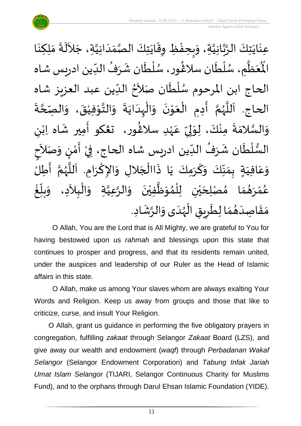$\ddot{\cdot}$ عِنَايَتِكَ الرَّبَّانِيَّةِ، وَبِحِفْظِ وِقَايَتِكَ الصَّمَدَانِيَّةِ، جَلاَلَةَ مَلِكِنَا ِ<br>الم  $\sim$ اتا<br>ا  $\frac{1}{1}$  $\frac{1}{\alpha}$ ات<br>ما  $\ddot{\phantom{0}}$  $\ddot{\phantom{0}}$ ֦֧֦֧֦֧<u>֦</u>  $\frac{1}{2}$  $\frac{1}{2}$ اتا<br>ا ن<br>م<br>۱ انہ<br>م  $\ddot{\ }$  $\ddot{\phantom{0}}$  $\ddot{\phantom{0}}$  $\frac{1}{2}$ الْمُطَّمِ، سُلْطَان سلَاغُور، سُلْطَان شَرَفُ الدِّين ادريس شاه  $\frac{1}{\sqrt{2}}$ ُ  $\frac{1}{2}$ ا<br>م ់<br>( و<br>م )<br>፟ ے۔<br>م ر<br>أ ر<br>ر<br>ر ر<br>آبا ्<br>व بر<br>مو  $\mathring{\mathcal{I}}$ الحاج ابن المرحوم سُلْطَان صَلاَحُ الدِّين عبد العزيز شاه  $\frac{1}{2}$ ُ ।<br>र  $\ddot{ }$ ا<br>أ و<br>ر  $\ddot{\cdot}$ ة ة<br>م ة<br>ح ۔<br>الصِّ  $\tilde{\cdot}$ الحاج. اَللَّهُمَّ أَدِمِ الْعَوْنَ وَالْبِدَايَةَ وَالتَّوْفِيْقَ، وَ  $\ddot{\phantom{0}}$ ْ ֦֧֦֦֧֦֧֦֧֦֧֦֧֦֧֦֧֦֧֦֧֝֟֓֓֟֓֓<br>**֧** ا<br>المعد  $\tilde{\cdot}$  $\ddot{\cdot}$  $\ddot{\phantom{0}}$ ا<br>ا ้<br>ו  $\tilde{\cdot}$  $\ddot{\phantom{0}}$ י<br>י  $\frac{1}{2}$ ْ ।<br>∕  $\frac{1}{2}$ ا<br>مح و<br>ر<br>ر ا<br>آ ،<br>آ ى<br>وَالسَّلامَةَ مِنْكَ، لِوَلِيِّ عَہْدِ سلاڠُور، تڠكو أَمِير شَاه اِبْنِ }<br>፟**፟** ٝ<br>ۣ<br>ؙ .<br>م  $\frac{\nu}{\nu}$ ِ<br>ب ل  $\frac{1}{2}$ ْ  $\frac{1}{2}$  $\frac{1}{2}$ ا<br>ما  $\frac{1}{2}$ ْ ្រ َ ।<br>ज السُّلْطَان شَرَفُ الدِّين ادريس شاه الحاج، فِيْ أَمْنٍ وَصَلاَحٍ ्<br>र  $\frac{1}{2}$ )<br>إ י<br>י  $\frac{1}{2}$ ْ -<br>،<br>، ُ ِرِ ।<br>€ ٝ<br>ا ر<br>ر<br>ر للَّهُمَّ أَطِلُّ ا<br>:<br>: ن<br>م ُ<br>ر<br>ر سمج<br>آن<br>ا َ وَعَافِيَةٍ بِمَنِّكَ وَكَرَمِكَ يَا ذَاالْجَلالِ وَالإِكْرَامِ. اَ ।<br>∕ ا<br>م  $\tilde{\cdot}$  $\overline{\phantom{a}}$ ا<br>أ َ.<br>اجراء  $\ddot{\phantom{0}}$ َ  $\frac{1}{2}$  $\frac{1}{2}$  $\frac{1}{2}$  $\frac{1}{\lambda}$  $\frac{1}{2}$  $\frac{1}{1}$ .<br>م  $\frac{1}{2}$  $\sim$ ا َ مُصْلِحَيْنِ ۚ لِلْمُوَظَّفِيْنَ ۚ وَالرَّعِيَّةِ ۚ وَالْبِلاَدِ، ۚ وَ ֦֧֦֧֦֧֝<u>֦</u>  $\frac{1}{2}$ ا<br>ا ان<br>م ์  $\ddot{\phantom{0}}$ ْ ا<br>ا  $\frac{1}{2}$ ُ<br>አ ់<br>ព្ ْ ي  $\overline{\phantom{a}}$  $\frac{1}{2}$  $\frac{1}{2}$ م  $\frac{1}{2}$ و<br>ها رَ **ٔ** ه<br>لم و<br>م و<br>ڪ ້<br>: غ .<br>ا  $\frac{1}{2}$ بلّ  $\frac{1}{2}$ مَقَاصِدَهُمَا لِطَرِيقِ الْهُدَى وَالرَّشَادِ. ្រ  $\frac{1}{2}$ م<br>م ر<br>ر<br>ر ֦֧֦֧֦֧֦֧֦֧֦֧֦֜֜֜֓֓֟֓<br>֧ׅׅׅ֜֜֜֜֜֜֜֜֜֜֜֜֜֜֜֝֜֜֬  $\ddot{\bm{s}}$ <u>ر</u>  $\frac{1}{\epsilon}$  $\frac{1}{2}$  $\frac{1}{2}$ َ  $\frac{1}{2}$  $\frac{1}{2}$ 

O Allah, You are the Lord that is All Mighty, we are grateful to You for having bestowed upon us *rahmah* and blessings upon this state that continues to prosper and progress, and that its residents remain united, under the auspices and leadership of our Ruler as the Head of Islamic affairs in this state.

O Allah, make us among Your slaves whom are always exalting Your Words and Religion. Keep us away from groups and those that like to criticize, curse, and insult Your Religion.

O Allah, grant us guidance in performing the five obligatory prayers in congregation, fulfilling *zakaat* through Selangor *Zakaat* Board (LZS), and give away our wealth and endowment (*waqf*) through *Perbadanan Wakaf Selangor* (Selangor Endowment Corporation) and *Tabung Infak Jariah Umat Islam Selangor* (TIJARI, Selangor Continuous Charity for Muslims Fund), and to the orphans through Darul Ehsan Islamic Foundation (YIDE).